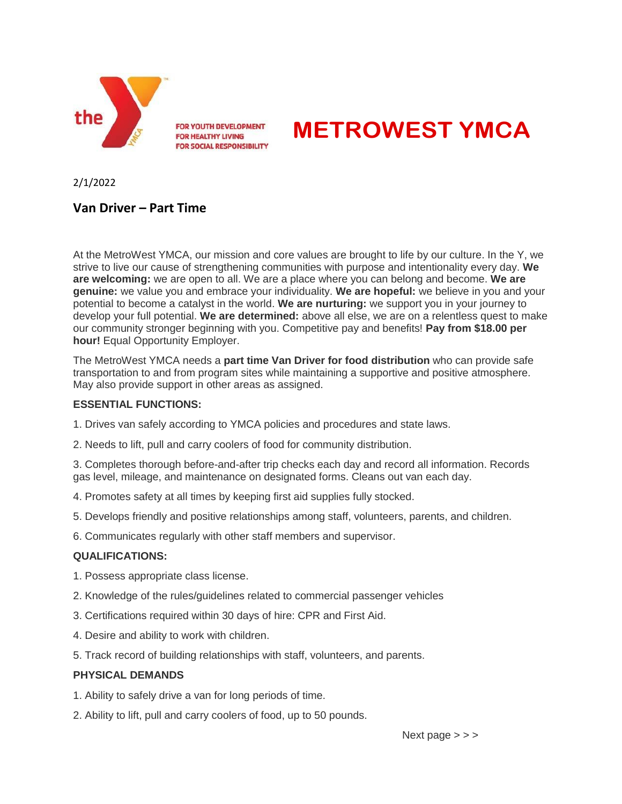

# **METROWEST YMCA**

2/1/2022

# **Van Driver – Part Time**

At the MetroWest YMCA, our mission and core values are brought to life by our culture. In the Y, we strive to live our cause of strengthening communities with purpose and intentionality every day. **We are welcoming:** we are open to all. We are a place where you can belong and become. **We are genuine:** we value you and embrace your individuality. **We are hopeful:** we believe in you and your potential to become a catalyst in the world. **We are nurturing:** we support you in your journey to develop your full potential. **We are determined:** above all else, we are on a relentless quest to make our community stronger beginning with you. Competitive pay and benefits! **Pay from \$18.00 per hour!** Equal Opportunity Employer.

The MetroWest YMCA needs a **part time Van Driver for food distribution** who can provide safe transportation to and from program sites while maintaining a supportive and positive atmosphere. May also provide support in other areas as assigned.

#### **ESSENTIAL FUNCTIONS:**

- 1. Drives van safely according to YMCA policies and procedures and state laws.
- 2. Needs to lift, pull and carry coolers of food for community distribution.

3. Completes thorough before-and-after trip checks each day and record all information. Records gas level, mileage, and maintenance on designated forms. Cleans out van each day.

- 4. Promotes safety at all times by keeping first aid supplies fully stocked.
- 5. Develops friendly and positive relationships among staff, volunteers, parents, and children.
- 6. Communicates regularly with other staff members and supervisor.

## **QUALIFICATIONS:**

- 1. Possess appropriate class license.
- 2. Knowledge of the rules/guidelines related to commercial passenger vehicles
- 3. Certifications required within 30 days of hire: CPR and First Aid.
- 4. Desire and ability to work with children.
- 5. Track record of building relationships with staff, volunteers, and parents.

## **PHYSICAL DEMANDS**

- 1. Ability to safely drive a van for long periods of time.
- 2. Ability to lift, pull and carry coolers of food, up to 50 pounds.